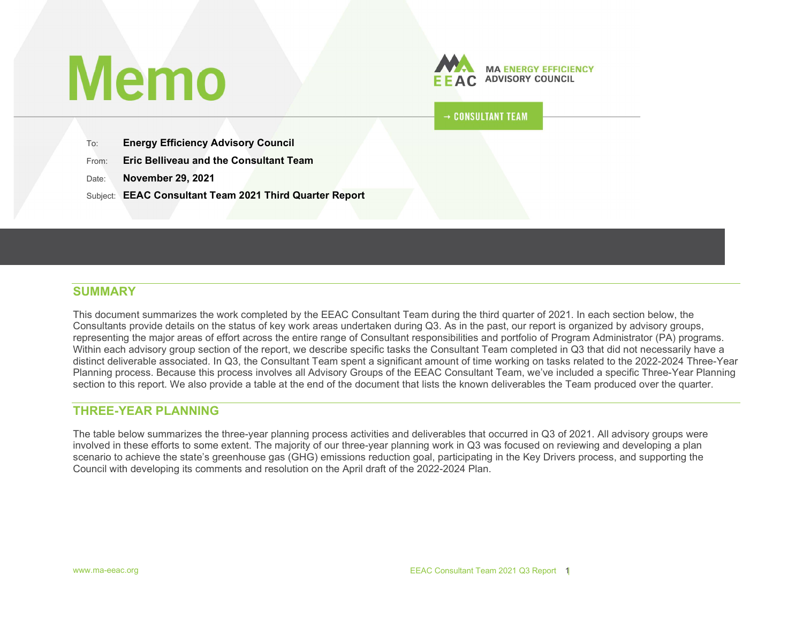# **Memo**



 $\rightarrow$  CONSULTANT TEAM

To: Energy Efficiency Advisory Council

From: **Eric Belliveau and the Consultant Team** 

Date: November 29, 2021

Subject: **EEAC Consultant Team 2021 Third Quarter Report** 

#### SUMMARY

This document summarizes the work completed by the EEAC Consultant Team during the third quarter of 2021. In each section below, the Consultants provide details on the status of key work areas undertaken during Q3. As in the past, our report is organized by advisory groups, representing the major areas of effort across the entire range of Consultant responsibilities and portfolio of Program Administrator (PA) programs. Within each advisory group section of the report, we describe specific tasks the Consultant Team completed in Q3 that did not necessarily have a distinct deliverable associated. In Q3, the Consultant Team spent a significant amount of time working on tasks related to the 2022-2024 Three-Year Planning process. Because this process involves all Advisory Groups of the EEAC Consultant Team, we've included a specific Three-Year Planning section to this report. We also provide a table at the end of the document that lists the known deliverables the Team produced over the quarter.

#### THREE-YEAR PLANNING

The table below summarizes the three-year planning process activities and deliverables that occurred in Q3 of 2021. All advisory groups were involved in these efforts to some extent. The majority of our three-year planning work in Q3 was focused on reviewing and developing a plan scenario to achieve the state's greenhouse gas (GHG) emissions reduction goal, participating in the Key Drivers process, and supporting the Council with developing its comments and resolution on the April draft of the 2022-2024 Plan.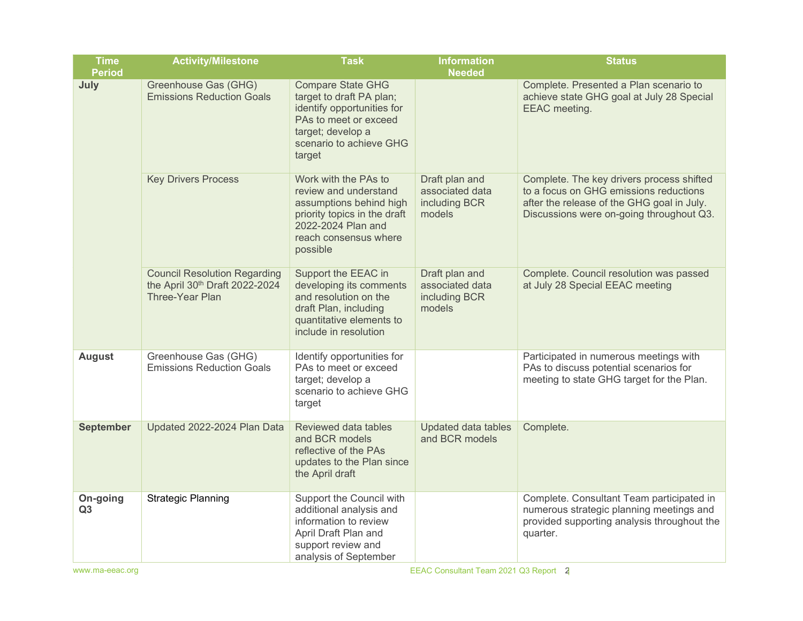| <b>Time</b><br><b>Period</b> | <b>Activity/Milestone</b>                                                                | <b>Task</b>                                                                                                                                                           | <b>Information</b><br><b>Needed</b>                          | <b>Status</b>                                                                                                                                                                 |
|------------------------------|------------------------------------------------------------------------------------------|-----------------------------------------------------------------------------------------------------------------------------------------------------------------------|--------------------------------------------------------------|-------------------------------------------------------------------------------------------------------------------------------------------------------------------------------|
| July                         | Greenhouse Gas (GHG)<br><b>Emissions Reduction Goals</b>                                 | <b>Compare State GHG</b><br>target to draft PA plan;<br>identify opportunities for<br>PAs to meet or exceed<br>target; develop a<br>scenario to achieve GHG<br>target |                                                              | Complete. Presented a Plan scenario to<br>achieve state GHG goal at July 28 Special<br>EEAC meeting.                                                                          |
|                              | <b>Key Drivers Process</b>                                                               | Work with the PAs to<br>review and understand<br>assumptions behind high<br>priority topics in the draft<br>2022-2024 Plan and<br>reach consensus where<br>possible   | Draft plan and<br>associated data<br>including BCR<br>models | Complete. The key drivers process shifted<br>to a focus on GHG emissions reductions<br>after the release of the GHG goal in July.<br>Discussions were on-going throughout Q3. |
|                              | <b>Council Resolution Regarding</b><br>the April 30th Draft 2022-2024<br>Three-Year Plan | Support the EEAC in<br>developing its comments<br>and resolution on the<br>draft Plan, including<br>quantitative elements to<br>include in resolution                 | Draft plan and<br>associated data<br>including BCR<br>models | Complete. Council resolution was passed<br>at July 28 Special EEAC meeting                                                                                                    |
| <b>August</b>                | Greenhouse Gas (GHG)<br><b>Emissions Reduction Goals</b>                                 | Identify opportunities for<br>PAs to meet or exceed<br>target; develop a<br>scenario to achieve GHG<br>target                                                         |                                                              | Participated in numerous meetings with<br>PAs to discuss potential scenarios for<br>meeting to state GHG target for the Plan.                                                 |
| <b>September</b>             | Updated 2022-2024 Plan Data                                                              | Reviewed data tables<br>and BCR models<br>reflective of the PAs<br>updates to the Plan since<br>the April draft                                                       | Updated data tables<br>and BCR models                        | Complete.                                                                                                                                                                     |
| On-going<br>Q3               | <b>Strategic Planning</b>                                                                | Support the Council with<br>additional analysis and<br>information to review<br>April Draft Plan and<br>support review and<br>analysis of September                   |                                                              | Complete. Consultant Team participated in<br>numerous strategic planning meetings and<br>provided supporting analysis throughout the<br>quarter.                              |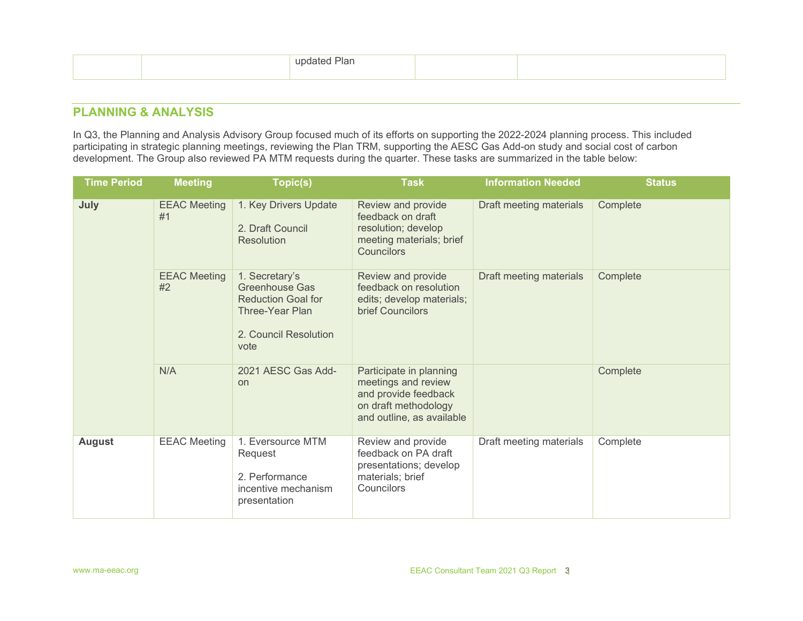## PLANNING & ANALYSIS

In Q3, the Planning and Analysis Advisory Group focused much of its efforts on supporting the 2022-2024 planning process. This included participating in strategic planning meetings, reviewing the Plan TRM, supporting the AESC Gas Add-on study and social cost of carbon development. The Group also reviewed PA MTM requests during the quarter. These tasks are summarized in the table below:

| <b>Time Period</b> | <b>Meeting</b>            | Topic(s)                                                                                                          | <b>Task</b>                                                                                                                 | <b>Information Needed</b> | <b>Status</b> |
|--------------------|---------------------------|-------------------------------------------------------------------------------------------------------------------|-----------------------------------------------------------------------------------------------------------------------------|---------------------------|---------------|
| July               | <b>EEAC Meeting</b><br>#1 | 1. Key Drivers Update<br>2. Draft Council<br><b>Resolution</b>                                                    | Review and provide<br>feedback on draft<br>resolution; develop<br>meeting materials; brief<br>Councilors                    | Draft meeting materials   | Complete      |
|                    | <b>EEAC Meeting</b><br>#2 | 1. Secretary's<br>Greenhouse Gas<br><b>Reduction Goal for</b><br>Three-Year Plan<br>2. Council Resolution<br>vote | Review and provide<br>feedback on resolution<br>edits; develop materials;<br>brief Councilors                               | Draft meeting materials   | Complete      |
|                    | N/A                       | 2021 AESC Gas Add-<br><b>on</b>                                                                                   | Participate in planning<br>meetings and review<br>and provide feedback<br>on draft methodology<br>and outline, as available |                           | Complete      |
| <b>August</b>      | <b>EEAC Meeting</b>       | 1. Eversource MTM<br>Request<br>2. Performance<br>incentive mechanism<br>presentation                             | Review and provide<br>feedback on PA draft<br>presentations; develop<br>materials; brief<br>Councilors                      | Draft meeting materials   | Complete      |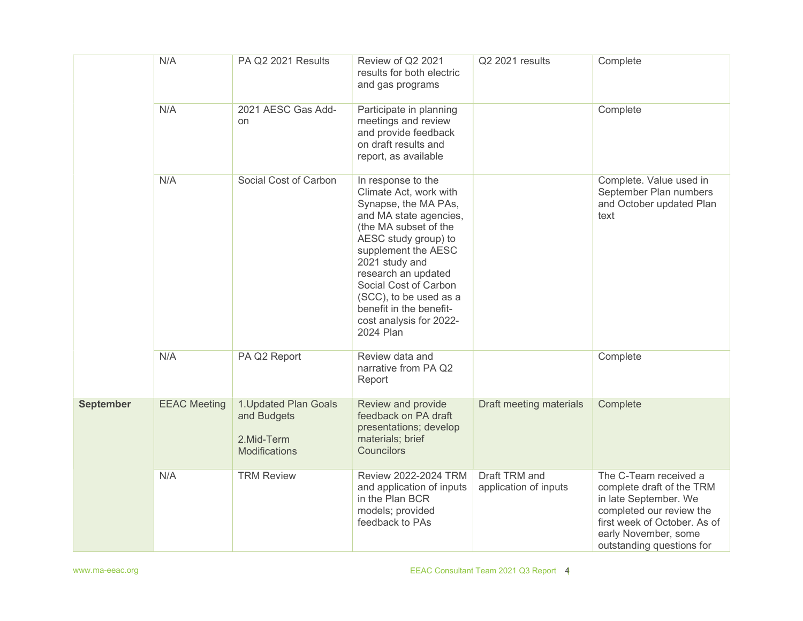|                  | N/A                 | PA Q2 2021 Results                                                  | Review of Q2 2021<br>results for both electric<br>and gas programs                                                                                                                                                                                                                                                                    | Q2 2021 results                        | Complete                                                                                                                                                                                     |
|------------------|---------------------|---------------------------------------------------------------------|---------------------------------------------------------------------------------------------------------------------------------------------------------------------------------------------------------------------------------------------------------------------------------------------------------------------------------------|----------------------------------------|----------------------------------------------------------------------------------------------------------------------------------------------------------------------------------------------|
|                  | N/A                 | 2021 AESC Gas Add-<br>on                                            | Participate in planning<br>meetings and review<br>and provide feedback<br>on draft results and<br>report, as available                                                                                                                                                                                                                |                                        | Complete                                                                                                                                                                                     |
|                  | N/A                 | Social Cost of Carbon                                               | In response to the<br>Climate Act, work with<br>Synapse, the MA PAs,<br>and MA state agencies,<br>(the MA subset of the<br>AESC study group) to<br>supplement the AESC<br>2021 study and<br>research an updated<br>Social Cost of Carbon<br>(SCC), to be used as a<br>benefit in the benefit-<br>cost analysis for 2022-<br>2024 Plan |                                        | Complete. Value used in<br>September Plan numbers<br>and October updated Plan<br>text                                                                                                        |
|                  | N/A                 | PA Q2 Report                                                        | Review data and<br>narrative from PA Q2<br>Report                                                                                                                                                                                                                                                                                     |                                        | Complete                                                                                                                                                                                     |
| <b>September</b> | <b>EEAC Meeting</b> | 1. Updated Plan Goals<br>and Budgets<br>2.Mid-Term<br>Modifications | Review and provide<br>feedback on PA draft<br>presentations; develop<br>materials; brief<br><b>Councilors</b>                                                                                                                                                                                                                         | Draft meeting materials                | Complete                                                                                                                                                                                     |
|                  | N/A                 | <b>TRM Review</b>                                                   | Review 2022-2024 TRM<br>and application of inputs<br>in the Plan BCR<br>models; provided<br>feedback to PAs                                                                                                                                                                                                                           | Draft TRM and<br>application of inputs | The C-Team received a<br>complete draft of the TRM<br>in late September. We<br>completed our review the<br>first week of October. As of<br>early November, some<br>outstanding questions for |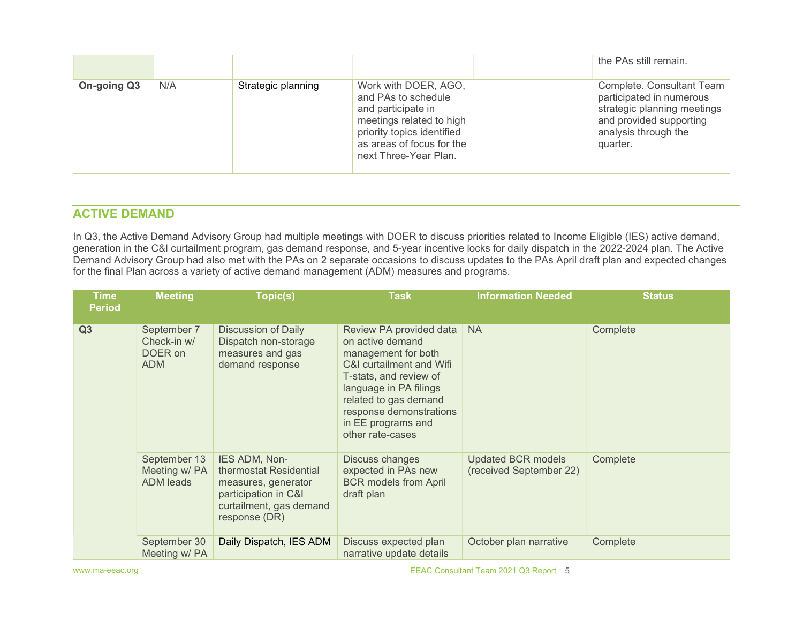|             |     |                    |                                                                                                                                                                                   | the PAs still remain.                                                                                                                               |
|-------------|-----|--------------------|-----------------------------------------------------------------------------------------------------------------------------------------------------------------------------------|-----------------------------------------------------------------------------------------------------------------------------------------------------|
| On-going Q3 | N/A | Strategic planning | Work with DOER, AGO,<br>and PAs to schedule<br>and participate in<br>meetings related to high<br>priority topics identified<br>as areas of focus for the<br>next Three-Year Plan. | Complete. Consultant Team<br>participated in numerous<br>strategic planning meetings<br>and provided supporting<br>analysis through the<br>quarter. |

#### ACTIVE DEMAND

In Q3, the Active Demand Advisory Group had multiple meetings with DOER to discuss priorities related to Income Eligible (IES) active demand, generation in the C&I curtailment program, gas demand response, and 5-year incentive locks for daily dispatch in the 2022-2024 plan. The Active Demand Advisory Group had also met with the PAs on 2 separate occasions to discuss updates to the PAs April draft plan and expected changes for the final Plan across a variety of active demand management (ADM) measures and programs.

| <b>Time</b><br><b>Period</b> | <b>Meeting</b>                                      | Topic(s)                                                                                                                           | <b>Task</b>                                                                                                                                                                                                                                      | <b>Information Needed</b>                            | <b>Status</b> |
|------------------------------|-----------------------------------------------------|------------------------------------------------------------------------------------------------------------------------------------|--------------------------------------------------------------------------------------------------------------------------------------------------------------------------------------------------------------------------------------------------|------------------------------------------------------|---------------|
| Q <sub>3</sub>               | September 7<br>Check-in w/<br>DOER on<br><b>ADM</b> | <b>Discussion of Daily</b><br>Dispatch non-storage<br>measures and gas<br>demand response                                          | Review PA provided data<br>on active demand<br>management for both<br>C&I curtailment and Wifi<br>T-stats, and review of<br>language in PA filings<br>related to gas demand<br>response demonstrations<br>in EE programs and<br>other rate-cases | <b>NA</b>                                            | Complete      |
|                              | September 13<br>Meeting w/ PA<br><b>ADM</b> leads   | IES ADM, Non-<br>thermostat Residential<br>measures, generator<br>participation in C&I<br>curtailment, gas demand<br>response (DR) | Discuss changes<br>expected in PAs new<br><b>BCR models from April</b><br>draft plan                                                                                                                                                             | <b>Updated BCR models</b><br>(received September 22) | Complete      |
|                              | September 30<br>Meeting w/ PA                       | Daily Dispatch, IES ADM                                                                                                            | Discuss expected plan<br>narrative update details                                                                                                                                                                                                | October plan narrative                               | Complete      |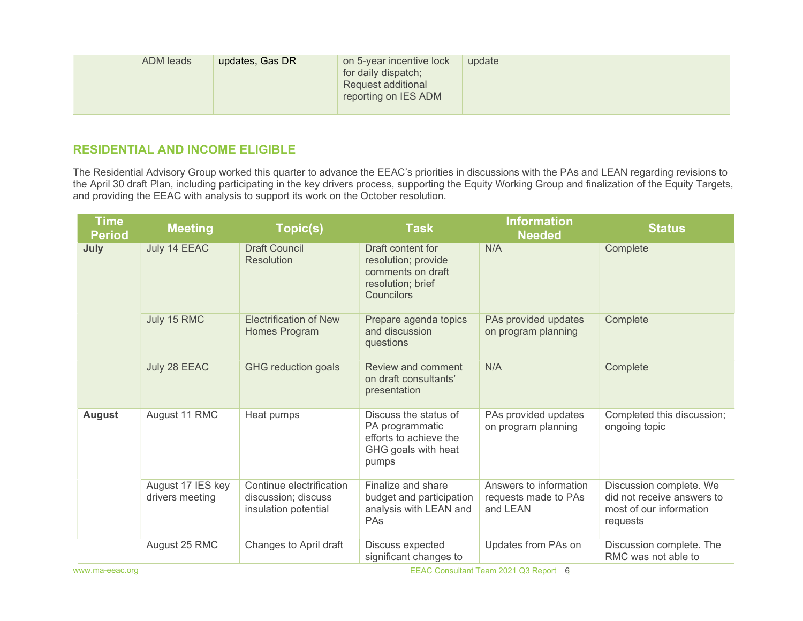| ADM leads<br>updates, Gas DR | on 5-year incentive lock<br>for daily dispatch;<br>Request additional<br>reporting on IES ADM | update |  |
|------------------------------|-----------------------------------------------------------------------------------------------|--------|--|
|------------------------------|-----------------------------------------------------------------------------------------------|--------|--|

### RESIDENTIAL AND INCOME ELIGIBLE

The Residential Advisory Group worked this quarter to advance the EEAC's priorities in discussions with the PAs and LEAN regarding revisions to the April 30 draft Plan, including participating in the key drivers process, supporting the Equity Working Group and finalization of the Equity Targets, and providing the EEAC with analysis to support its work on the October resolution.

| <b>Time</b><br><b>Period</b> | <b>Meeting</b>                       | Topic(s)                                                                | <b>Task</b>                                                                                        | <b>Information</b><br><b>Needed</b>                        | <b>Status</b>                                                                                |
|------------------------------|--------------------------------------|-------------------------------------------------------------------------|----------------------------------------------------------------------------------------------------|------------------------------------------------------------|----------------------------------------------------------------------------------------------|
| July                         | July 14 EEAC                         | <b>Draft Council</b><br><b>Resolution</b>                               | Draft content for<br>resolution; provide<br>comments on draft<br>resolution; brief<br>Councilors   | N/A                                                        | Complete                                                                                     |
|                              | July 15 RMC                          | <b>Electrification of New</b><br>Homes Program                          | Prepare agenda topics<br>and discussion<br>questions                                               | PAs provided updates<br>on program planning                | Complete                                                                                     |
|                              | July 28 EEAC                         | <b>GHG reduction goals</b>                                              | Review and comment<br>on draft consultants'<br>presentation                                        | N/A                                                        | Complete                                                                                     |
| <b>August</b>                | August 11 RMC                        | Heat pumps                                                              | Discuss the status of<br>PA programmatic<br>efforts to achieve the<br>GHG goals with heat<br>pumps | PAs provided updates<br>on program planning                | Completed this discussion;<br>ongoing topic                                                  |
|                              | August 17 IES key<br>drivers meeting | Continue electrification<br>discussion; discuss<br>insulation potential | Finalize and share<br>budget and participation<br>analysis with LEAN and<br>PAs                    | Answers to information<br>requests made to PAs<br>and LEAN | Discussion complete. We<br>did not receive answers to<br>most of our information<br>requests |
|                              | August 25 RMC                        | Changes to April draft                                                  | Discuss expected<br>significant changes to                                                         | Updates from PAs on                                        | Discussion complete. The<br>RMC was not able to                                              |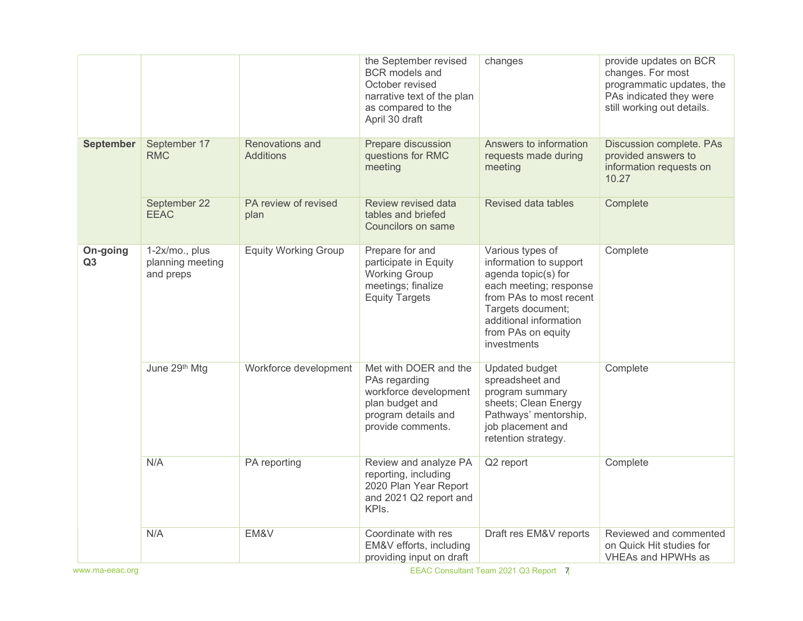|                  |                                                 |                                     | the September revised<br><b>BCR</b> models and<br>October revised<br>narrative text of the plan<br>as compared to the<br>April 30 draft | changes                                                                                                                                                                                                    | provide updates on BCR<br>changes. For most<br>programmatic updates, the<br>PAs indicated they were<br>still working out details. |
|------------------|-------------------------------------------------|-------------------------------------|-----------------------------------------------------------------------------------------------------------------------------------------|------------------------------------------------------------------------------------------------------------------------------------------------------------------------------------------------------------|-----------------------------------------------------------------------------------------------------------------------------------|
| <b>September</b> | September 17<br><b>RMC</b>                      | Renovations and<br><b>Additions</b> | Prepare discussion<br>questions for RMC<br>meeting                                                                                      | Answers to information<br>requests made during<br>meeting                                                                                                                                                  | Discussion complete. PAs<br>provided answers to<br>information requests on<br>10.27                                               |
|                  | September 22<br><b>EEAC</b>                     | PA review of revised<br>plan        | Review revised data<br>tables and briefed<br>Councilors on same                                                                         | Revised data tables                                                                                                                                                                                        | Complete                                                                                                                          |
| On-going<br>Q3   | 1-2x/mo., plus<br>planning meeting<br>and preps | <b>Equity Working Group</b>         | Prepare for and<br>participate in Equity<br>Working Group<br>meetings; finalize<br><b>Equity Targets</b>                                | Various types of<br>information to support<br>agenda topic(s) for<br>each meeting; response<br>from PAs to most recent<br>Targets document;<br>additional information<br>from PAs on equity<br>investments | Complete                                                                                                                          |
|                  | June 29th Mtg                                   | Workforce development               | Met with DOER and the<br>PAs regarding<br>workforce development<br>plan budget and<br>program details and<br>provide comments.          | Updated budget<br>spreadsheet and<br>program summary<br>sheets; Clean Energy<br>Pathways' mentorship,<br>job placement and<br>retention strategy.                                                          | Complete                                                                                                                          |
|                  | N/A                                             | PA reporting                        | Review and analyze PA<br>reporting, including<br>2020 Plan Year Report<br>and 2021 Q2 report and<br>KPIs.                               | Q2 report                                                                                                                                                                                                  | Complete                                                                                                                          |
|                  | N/A                                             | EM&V                                | Coordinate with res<br>EM&V efforts, including<br>providing input on draft                                                              | Draft res EM&V reports                                                                                                                                                                                     | Reviewed and commented<br>on Quick Hit studies for<br>VHEAs and HPWHs as                                                          |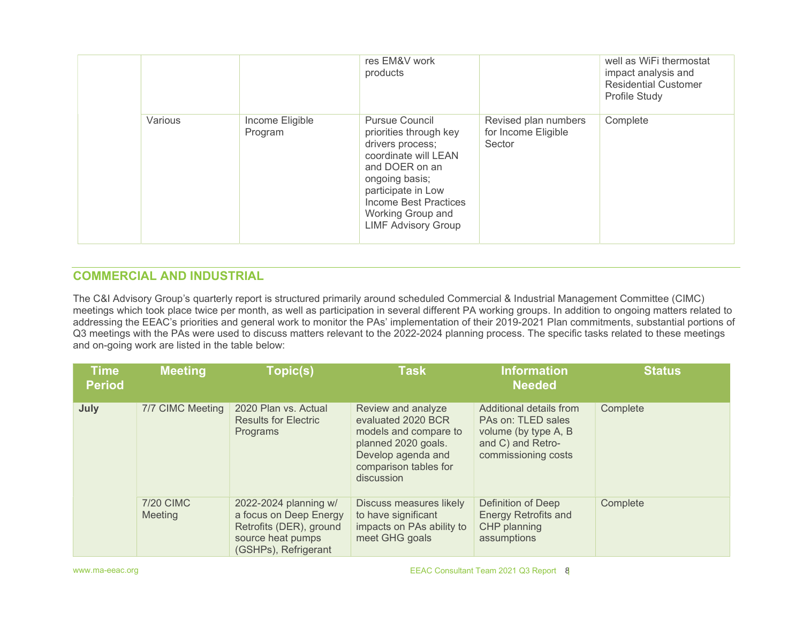|         |                            | res EM&V work<br>products                                                                                                                                                                                                         |                                                       | well as WiFi thermostat<br>impact analysis and<br><b>Residential Customer</b><br>Profile Study |
|---------|----------------------------|-----------------------------------------------------------------------------------------------------------------------------------------------------------------------------------------------------------------------------------|-------------------------------------------------------|------------------------------------------------------------------------------------------------|
| Various | Income Eligible<br>Program | <b>Pursue Council</b><br>priorities through key<br>drivers process;<br>coordinate will LEAN<br>and DOER on an<br>ongoing basis;<br>participate in Low<br>Income Best Practices<br>Working Group and<br><b>LIMF Advisory Group</b> | Revised plan numbers<br>for Income Eligible<br>Sector | Complete                                                                                       |

## COMMERCIAL AND INDUSTRIAL

The C&I Advisory Group's quarterly report is structured primarily around scheduled Commercial & Industrial Management Committee (CIMC) meetings which took place twice per month, as well as participation in several different PA working groups. In addition to ongoing matters related to addressing the EEAC's priorities and general work to monitor the PAs' implementation of their 2019-2021 Plan commitments, substantial portions of Q3 meetings with the PAs were used to discuss matters relevant to the 2022-2024 planning process. The specific tasks related to these meetings and on-going work are listed in the table below:

| <b>Time</b><br><b>Period</b> | <b>Meeting</b>              | Topic(s)                                                                                                                | <b>Task</b>                                                                                                                                           | <b>Information</b><br><b>Needed</b>                                                                               | <b>Status</b> |
|------------------------------|-----------------------------|-------------------------------------------------------------------------------------------------------------------------|-------------------------------------------------------------------------------------------------------------------------------------------------------|-------------------------------------------------------------------------------------------------------------------|---------------|
| July                         | 7/7 CIMC Meeting            | 2020 Plan vs. Actual<br><b>Results for Electric</b><br>Programs                                                         | Review and analyze<br>evaluated 2020 BCR<br>models and compare to<br>planned 2020 goals.<br>Develop agenda and<br>comparison tables for<br>discussion | Additional details from<br>PAs on: TLED sales<br>volume (by type A, B<br>and C) and Retro-<br>commissioning costs | Complete      |
|                              | <b>7/20 CIMC</b><br>Meeting | 2022-2024 planning w/<br>a focus on Deep Energy<br>Retrofits (DER), ground<br>source heat pumps<br>(GSHPs), Refrigerant | Discuss measures likely<br>to have significant<br>impacts on PAs ability to<br>meet GHG goals                                                         | Definition of Deep<br><b>Energy Retrofits and</b><br>CHP planning<br>assumptions                                  | Complete      |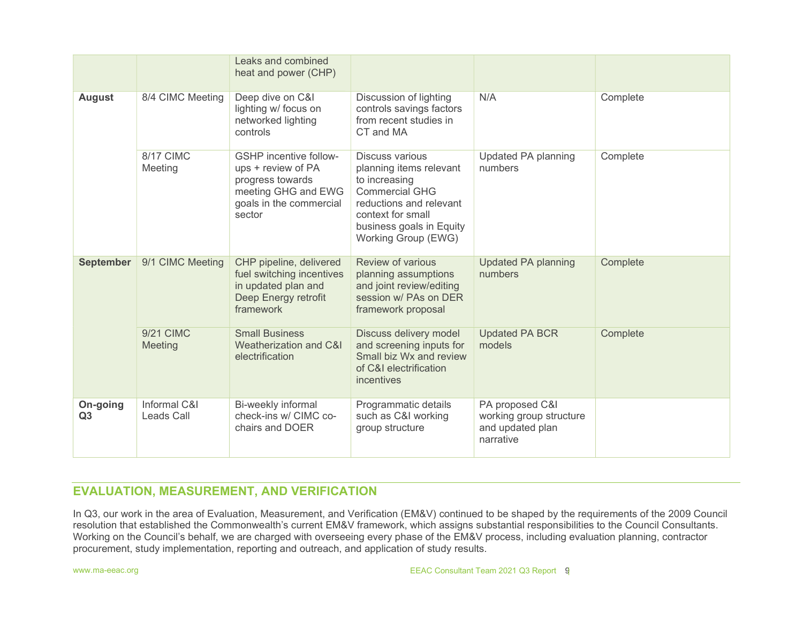|                            |                                   | Leaks and combined<br>heat and power (CHP)                                                                                          |                                                                                                                                                                                                |                                                                             |          |
|----------------------------|-----------------------------------|-------------------------------------------------------------------------------------------------------------------------------------|------------------------------------------------------------------------------------------------------------------------------------------------------------------------------------------------|-----------------------------------------------------------------------------|----------|
| <b>August</b>              | 8/4 CIMC Meeting                  | Deep dive on C&I<br>lighting w/ focus on<br>networked lighting<br>controls                                                          | Discussion of lighting<br>controls savings factors<br>from recent studies in<br>CT and MA                                                                                                      | N/A                                                                         | Complete |
|                            | 8/17 CIMC<br>Meeting              | <b>GSHP</b> incentive follow-<br>ups + review of PA<br>progress towards<br>meeting GHG and EWG<br>goals in the commercial<br>sector | <b>Discuss various</b><br>planning items relevant<br>to increasing<br><b>Commercial GHG</b><br>reductions and relevant<br>context for small<br>business goals in Equity<br>Working Group (EWG) | Updated PA planning<br>numbers                                              | Complete |
| <b>September</b>           | 9/1 CIMC Meeting                  | CHP pipeline, delivered<br>fuel switching incentives<br>in updated plan and<br>Deep Energy retrofit<br>framework                    | Review of various<br>planning assumptions<br>and joint review/editing<br>session w/ PAs on DER<br>framework proposal                                                                           | <b>Updated PA planning</b><br>numbers                                       | Complete |
|                            | 9/21 CIMC<br>Meeting              | <b>Small Business</b><br>Weatherization and C&I<br>electrification                                                                  | Discuss delivery model<br>and screening inputs for<br>Small biz Wx and review<br>of C&I electrification<br>incentives                                                                          | <b>Updated PA BCR</b><br>models                                             | Complete |
| On-going<br>Q <sub>3</sub> | Informal C&I<br><b>Leads Call</b> | Bi-weekly informal<br>check-ins w/ CIMC co-<br>chairs and DOER                                                                      | Programmatic details<br>such as C&I working<br>group structure                                                                                                                                 | PA proposed C&I<br>working group structure<br>and updated plan<br>narrative |          |

## EVALUATION, MEASUREMENT, AND VERIFICATION

In Q3, our work in the area of Evaluation, Measurement, and Verification (EM&V) continued to be shaped by the requirements of the 2009 Council resolution that established the Commonwealth's current EM&V framework, which assigns substantial responsibilities to the Council Consultants. Working on the Council's behalf, we are charged with overseeing every phase of the EM&V process, including evaluation planning, contractor procurement, study implementation, reporting and outreach, and application of study results.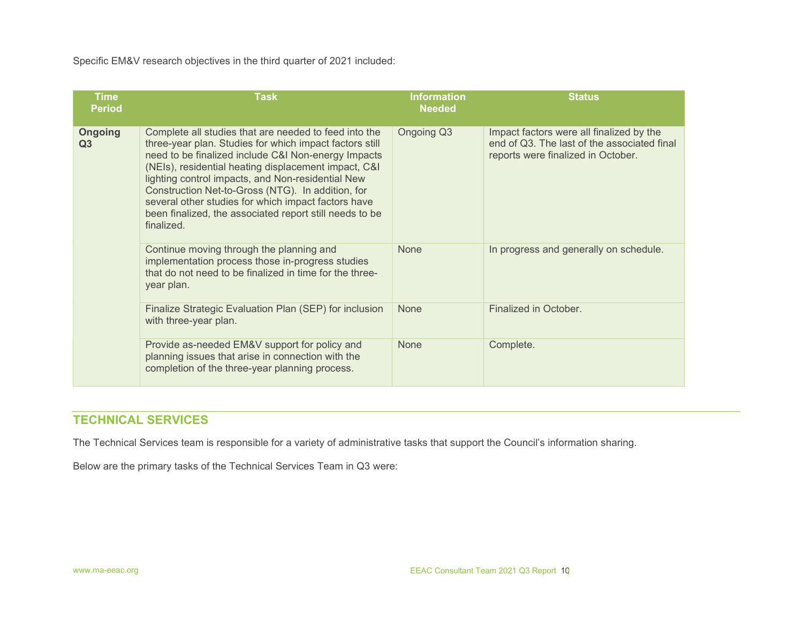Specific EM&V research objectives in the third quarter of 2021 included:

| <b>Time</b><br><b>Period</b> | <b>Task</b>                                                                                                                                                                                                                                                                                                                                                                                                                                                               | <b>Information</b><br><b>Needed</b> | <b>Status</b>                                                                                                                 |
|------------------------------|---------------------------------------------------------------------------------------------------------------------------------------------------------------------------------------------------------------------------------------------------------------------------------------------------------------------------------------------------------------------------------------------------------------------------------------------------------------------------|-------------------------------------|-------------------------------------------------------------------------------------------------------------------------------|
| <b>Ongoing</b><br>Q3         | Complete all studies that are needed to feed into the<br>three-year plan. Studies for which impact factors still<br>need to be finalized include C&I Non-energy Impacts<br>(NEIs), residential heating displacement impact, C&I<br>lighting control impacts, and Non-residential New<br>Construction Net-to-Gross (NTG). In addition, for<br>several other studies for which impact factors have<br>been finalized, the associated report still needs to be<br>finalized. | Ongoing Q3                          | Impact factors were all finalized by the<br>end of Q3. The last of the associated final<br>reports were finalized in October. |
|                              | Continue moving through the planning and<br>implementation process those in-progress studies<br>that do not need to be finalized in time for the three-<br>year plan.                                                                                                                                                                                                                                                                                                     | <b>None</b>                         | In progress and generally on schedule.                                                                                        |
|                              | Finalize Strategic Evaluation Plan (SEP) for inclusion<br>with three-year plan.                                                                                                                                                                                                                                                                                                                                                                                           | <b>None</b>                         | Finalized in October.                                                                                                         |
|                              | Provide as-needed EM&V support for policy and<br>planning issues that arise in connection with the<br>completion of the three-year planning process.                                                                                                                                                                                                                                                                                                                      | <b>None</b>                         | Complete.                                                                                                                     |

## TECHNICAL SERVICES

The Technical Services team is responsible for a variety of administrative tasks that support the Council's information sharing.

Below are the primary tasks of the Technical Services Team in Q3 were: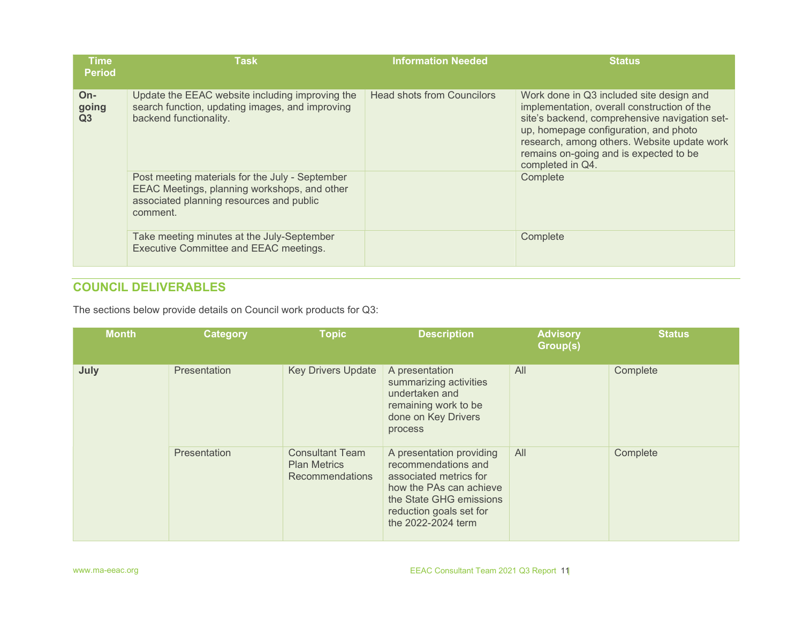| <b>Time</b><br><b>Period</b>     | <b>Task</b>                                                                                                                                             | <b>Information Needed</b>         | <b>Status</b>                                                                                                                                                                                                                                                                                  |
|----------------------------------|---------------------------------------------------------------------------------------------------------------------------------------------------------|-----------------------------------|------------------------------------------------------------------------------------------------------------------------------------------------------------------------------------------------------------------------------------------------------------------------------------------------|
| $On-$<br>going<br>Q <sub>3</sub> | Update the EEAC website including improving the<br>search function, updating images, and improving<br>backend functionality.                            | <b>Head shots from Councilors</b> | Work done in Q3 included site design and<br>implementation, overall construction of the<br>site's backend, comprehensive navigation set-<br>up, homepage configuration, and photo<br>research, among others. Website update work<br>remains on-going and is expected to be<br>completed in Q4. |
|                                  | Post meeting materials for the July - September<br>EEAC Meetings, planning workshops, and other<br>associated planning resources and public<br>comment. |                                   | Complete                                                                                                                                                                                                                                                                                       |
|                                  | Take meeting minutes at the July-September<br>Executive Committee and EEAC meetings.                                                                    |                                   | Complete                                                                                                                                                                                                                                                                                       |

# COUNCIL DELIVERABLES

The sections below provide details on Council work products for Q3:

| <b>Month</b> | Category     | <b>Topic</b>                                                     | <b>Description</b>                                                                                                                                                               | <b>Advisory</b><br>Group(s) | <b>Status</b> |
|--------------|--------------|------------------------------------------------------------------|----------------------------------------------------------------------------------------------------------------------------------------------------------------------------------|-----------------------------|---------------|
| July         | Presentation | <b>Key Drivers Update</b>                                        | A presentation<br>summarizing activities<br>undertaken and<br>remaining work to be<br>done on Key Drivers<br>process                                                             | All                         | Complete      |
|              | Presentation | <b>Consultant Team</b><br><b>Plan Metrics</b><br>Recommendations | A presentation providing<br>recommendations and<br>associated metrics for<br>how the PAs can achieve<br>the State GHG emissions<br>reduction goals set for<br>the 2022-2024 term | All                         | Complete      |